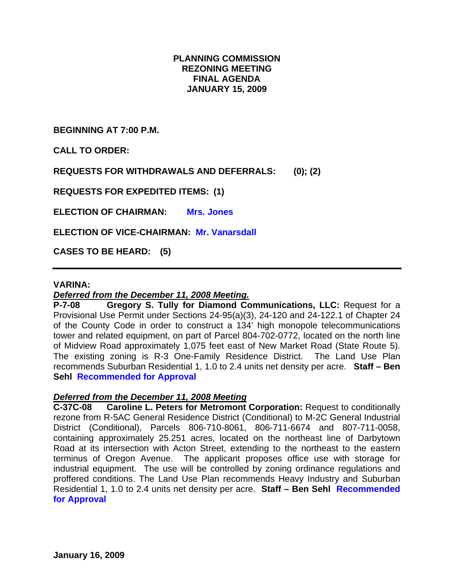# **PLANNING COMMISSION REZONING MEETING FINAL AGENDA JANUARY 15, 2009**

**BEGINNING AT 7:00 P.M.** 

**CALL TO ORDER:** 

**REQUESTS FOR WITHDRAWALS AND DEFERRALS: (0); (2)** 

**REQUESTS FOR EXPEDITED ITEMS: (1)** 

**ELECTION OF CHAIRMAN: Mrs. Jones** 

**ELECTION OF VICE-CHAIRMAN: Mr. Vanarsdall**

**CASES TO BE HEARD: (5)** 

#### **VARINA:**

## *Deferred from the December 11, 2008 Meeting.*

**P-7-08 Gregory S. Tully for Diamond Communications, LLC:** Request for a Provisional Use Permit under Sections 24-95(a)(3), 24-120 and 24-122.1 of Chapter 24 of the County Code in order to construct a 134' high monopole telecommunications tower and related equipment, on part of Parcel 804-702-0772, located on the north line of Midview Road approximately 1,075 feet east of New Market Road (State Route 5). The existing zoning is R-3 One-Family Residence District. The Land Use Plan recommends Suburban Residential 1, 1.0 to 2.4 units net density per acre. **Staff – Ben Sehl Recommended for Approval** 

## *Deferred from the December 11, 2008 Meeting*

**C-37C-08 Caroline L. Peters for Metromont Corporation:** Request to conditionally rezone from R-5AC General Residence District (Conditional) to M-2C General Industrial District (Conditional), Parcels 806-710-8061, 806-711-6674 and 807-711-0058, containing approximately 25.251 acres, located on the northeast line of Darbytown Road at its intersection with Acton Street, extending to the northeast to the eastern terminus of Oregon Avenue. The applicant proposes office use with storage for industrial equipment. The use will be controlled by zoning ordinance regulations and proffered conditions. The Land Use Plan recommends Heavy Industry and Suburban Residential 1, 1.0 to 2.4 units net density per acre. **Staff – Ben Sehl Recommended for Approval**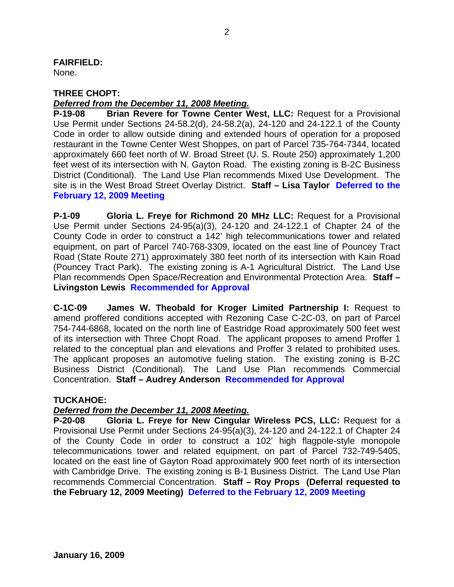# **FAIRFIELD:**

None.

## **THREE CHOPT:**

## *Deferred from the December 11, 2008 Meeting.*

**P-19-08 Brian Revere for Towne Center West, LLC:** Request for a Provisional Use Permit under Sections 24-58.2(d), 24-58.2(a), 24-120 and 24-122.1 of the County Code in order to allow outside dining and extended hours of operation for a proposed restaurant in the Towne Center West Shoppes, on part of Parcel 735-764-7344, located approximately 660 feet north of W. Broad Street (U. S. Route 250) approximately 1,200 feet west of its intersection with N. Gayton Road. The existing zoning is B-2C Business District (Conditional). The Land Use Plan recommends Mixed Use Development. The site is in the West Broad Street Overlay District. **Staff – Lisa Taylor Deferred to the February 12, 2009 Meeting** 

**P-1-09 Gloria L. Freye for Richmond 20 MHz LLC:** Request for a Provisional Use Permit under Sections 24-95(a)(3), 24-120 and 24-122.1 of Chapter 24 of the County Code in order to construct a 142' high telecommunications tower and related equipment, on part of Parcel 740-768-3309, located on the east line of Pouncey Tract Road (State Route 271) approximately 380 feet north of its intersection with Kain Road (Pouncey Tract Park). The existing zoning is A-1 Agricultural District. The Land Use Plan recommends Open Space/Recreation and Environmental Protection Area. **Staff – Livingston Lewis Recommended for Approval**

**C-1C-09 James W. Theobald for Kroger Limited Partnership I:** Request to amend proffered conditions accepted with Rezoning Case C-2C-03, on part of Parcel 754-744-6868, located on the north line of Eastridge Road approximately 500 feet west of its intersection with Three Chopt Road. The applicant proposes to amend Proffer 1 related to the conceptual plan and elevations and Proffer 3 related to prohibited uses. The applicant proposes an automotive fueling station. The existing zoning is B-2C Business District (Conditional). The Land Use Plan recommends Commercial Concentration. **Staff – Audrey Anderson Recommended for Approval**

# **TUCKAHOE:**

# *Deferred from the December 11, 2008 Meeting.*

**P-20-08 Gloria L. Freye for New Cingular Wireless PCS, LLC:** Request for a Provisional Use Permit under Sections 24-95(a)(3), 24-120 and 24-122.1 of Chapter 24 of the County Code in order to construct a 102' high flagpole-style monopole telecommunications tower and related equipment, on part of Parcel 732-749-5405, located on the east line of Gayton Road approximately 900 feet north of its intersection with Cambridge Drive. The existing zoning is B-1 Business District. The Land Use Plan recommends Commercial Concentration. **Staff – Roy Props (Deferral requested to the February 12, 2009 Meeting) Deferred to the February 12, 2009 Meeting**